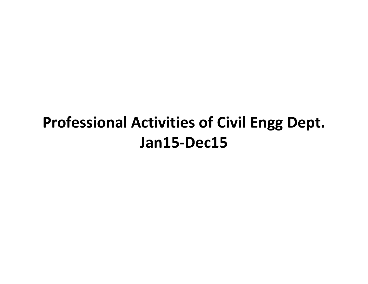# **Professional Activities of Civil Engg Dept. Jan15-Dec15**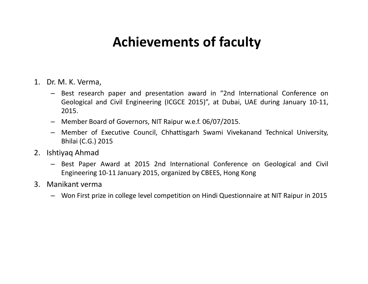#### **Achievements of faculty**

- 1. Dr. M. K. Verma,
	- Best research paper and presentation award in "2nd International Conference on Geological and Civil Engineering (ICGCE 2015)", at Dubai, UAE during January 10-11, 2015.
	- Member Board of Governors, NIT Raipur w.e.f. 06/07/2015.
	- Member of Executive Council, Chhattisgarh Swami Vivekanand Technical University, Bhilai (C.G.) 2015
- 2. Ishtiyaq Ahmad
	- Best Paper Award at 2015 2nd International Conference on Geological and Civil Engineering 10-11 January 2015, organized by CBEES, Hong Kong
- 3. Manikant verma
	- Won First prize in college level competition on Hindi Questionnaire at NIT Raipur in 2015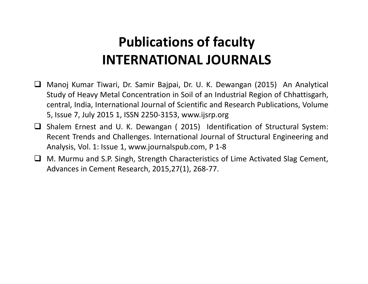- Manoj Kumar Tiwari, Dr. Samir Bajpai, Dr. U. K. Dewangan (2015) An Analytical Study of Heavy Metal Concentration in Soil of an Industrial Region of Chhattisgarh, central, India, International Journal of Scientific and Research Publications, Volume 5, Issue 7, July 2015 1, ISSN 2250-3153, www.ijsrp.org
- $\Box$  Shalem Ernest and U. K. Dewangan (2015) Identification of Structural System: Recent Trends and Challenges. International Journal of Structural Engineering and Analysis, Vol. 1: Issue 1, www.journalspub.com, P 1-8
- $\Box$  M. Murmu and S.P. Singh, Strength Characteristics of Lime Activated Slag Cement, Advances in Cement Research, 2015,27(1), 268-77.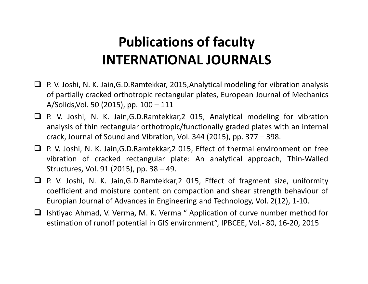- $\Box$  P. V. Joshi, N. K. Jain, G.D. Ramtekkar, 2015, Analytical modeling for vibration analysis of partially cracked orthotropic rectangular plates, European Journal of Mechanics A/Solids,Vol. 50 (2015), pp. 100 – 111
- P. V. Joshi, N. K. Jain,G.D.Ramtekkar,2 015, Analytical modeling for vibration analysis of thin rectangular orthotropic/functionally graded plates with an internal crack, Journal of Sound and Vibration, Vol. 344 (2015), pp. 377 – 398.
- P. V. Joshi, N. K. Jain,G.D.Ramtekkar,2 015, Effect of thermal environment on free vibration of cracked rectangular plate: An analytical approach, Thin-Walled Structures, Vol. 91 (2015), pp. 38 – 49.
- P. V. Joshi, N. K. Jain,G.D.Ramtekkar,2 015, Effect of fragment size, uniformity coefficient and moisture content on compaction and shear strength behaviour of Europian Journal of Advances in Engineering and Technology, Vol. 2(12), 1-10.
- Ishtiyaq Ahmad, V. Verma, M. K. Verma " Application of curve number method for estimation of runoff potential in GIS environment", IPBCEE, Vol.- 80, 16-20, 2015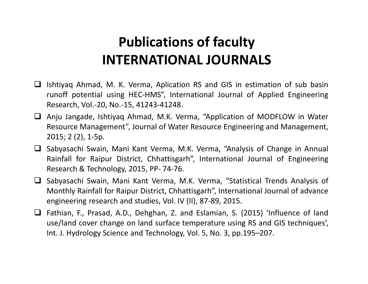- $\Box$  Ishtiyaq Ahmad, M. K. Verma, Aplication RS and GIS in estimation of sub basin runoff potential using HEC-HMS", International Journal of Applied Engineering Research, Vol.-20, No.-15, 41243-41248.
- Anju Jangade, Ishtiyaq Ahmad, M.K. Verma, "Application of MODFLOW in Water Resource Management", Journal of Water Resource Engineering and Management, 2015; 2 (2), 1-5p.
- Sabyasachi Swain, Mani Kant Verma, M.K. Verma, "Analysis of Change in Annual Rainfall for Raipur District, Chhattisgarh", International Journal of Engineering Research & Technology, 2015, PP- 74-76.
- Sabyasachi Swain, Mani Kant Verma, M.K. Verma, "Statistical Trends Analysis of Monthly Rainfall for Raipur District, Chhattisgarh", International Journal of advance engineering research and studies, Vol. IV (II), 87-89, 2015.
- Fathian, F., Prasad, A.D., Dehghan, Z. and Eslamian, S. (2015) 'Influence of land use/land cover change on land surface temperature using RS and GIS techniques', Int. J. Hydrology Science and Technology, Vol. 5, No. 3, pp.195–207.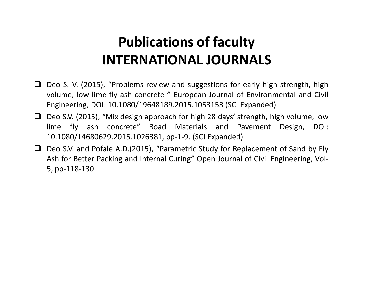- $\Box$  Deo S. V. (2015), "Problems review and suggestions for early high strength, high volume, low lime-fly ash concrete " European Journal of Environmental and Civil Engineering, DOI: 10.1080/19648189.2015.1053153 (SCI Expanded)
- □ Deo S.V. (2015), "Mix design approach for high 28 days' strength, high volume, low lime fly ash concrete" Road Materials and Pavement Design, DOI: 10.1080/14680629.2015.1026381, pp-1-9. (SCI Expanded)
- $\Box$  Deo S.V. and Pofale A.D.(2015), "Parametric Study for Replacement of Sand by Fly Ash for Better Packing and Internal Curing" Open Journal of Civil Engineering, Vol-5, pp-118-130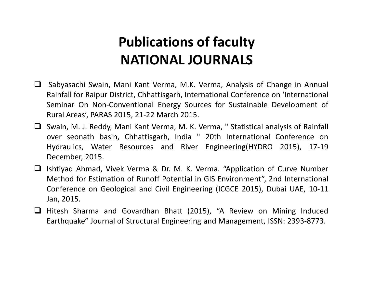- Sabyasachi Swain, Mani Kant Verma, M.K. Verma, Analysis of Change in Annual Rainfall for Raipur District, Chhattisgarh, International Conference on 'International Seminar On Non-Conventional Energy Sources for Sustainable Development of Rural Areas', PARAS 2015, 21-22 March 2015.
- $\Box$  Swain, M. J. Reddy, Mani Kant Verma, M. K. Verma, " Statistical analysis of Rainfall over seonath basin, Chhattisgarh, India " 20th International Conference on Hydraulics, Water Resources and River Engineering(HYDRO 2015), 17-19 December, 2015.
- Ishtiyaq Ahmad, Vivek Verma & Dr. M. K. Verma. "Application of Curve Number Method for Estimation of Runoff Potential in GIS Environment", 2nd International Conference on Geological and Civil Engineering (ICGCE 2015), Dubai UAE, 10-11 Jan, 2015.
- $\Box$  Hitesh Sharma and Govardhan Bhatt (2015), "A Review on Mining Induced Earthquake" Journal of Structural Engineering and Management, ISSN: 2393-8773.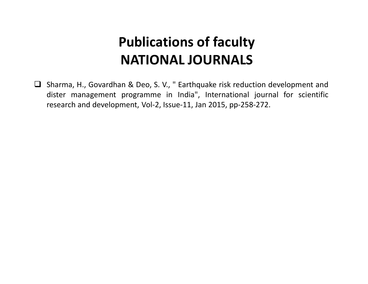□ Sharma, H., Govardhan & Deo, S. V., " Earthquake risk reduction development and dister management programme in India", International journal for scientific research and development, Vol-2, Issue-11, Jan 2015, pp-258-272.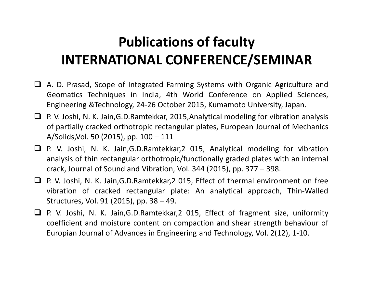# **Publications of faculty INTERNATIONAL CONFERENCE/SEMINAR**

- A. D. Prasad, Scope of Integrated Farming Systems with Organic Agriculture and Geomatics Techniques in India, 4th World Conference on Applied Sciences, Engineering &Technology, 24-26 October 2015, Kumamoto University, Japan.
- $\Box$  P. V. Joshi, N. K. Jain, G.D. Ramtekkar, 2015, Analytical modeling for vibration analysis of partially cracked orthotropic rectangular plates, European Journal of Mechanics A/Solids,Vol. 50 (2015), pp. 100 – 111
- P. V. Joshi, N. K. Jain,G.D.Ramtekkar,2 015, Analytical modeling for vibration analysis of thin rectangular orthotropic/functionally graded plates with an internal crack, Journal of Sound and Vibration, Vol. 344 (2015), pp. 377 – 398.
- P. V. Joshi, N. K. Jain,G.D.Ramtekkar,2 015, Effect of thermal environment on free vibration of cracked rectangular plate: An analytical approach, Thin-Walled Structures, Vol. 91 (2015), pp. 38 – 49.
- $\Box$  P. V. Joshi, N. K. Jain, G.D. Ramtekkar, 2 015, Effect of fragment size, uniformity coefficient and moisture content on compaction and shear strength behaviour of Europian Journal of Advances in Engineering and Technology, Vol. 2(12), 1-10.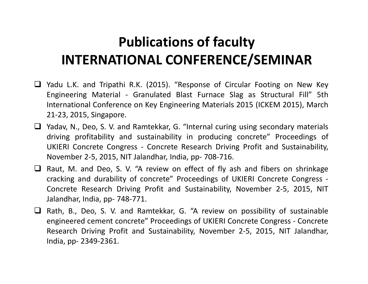# **Publications of faculty INTERNATIONAL CONFERENCE/SEMINAR**

- $\Box$  Yadu L.K. and Tripathi R.K. (2015). "Response of Circular Footing on New Key Engineering Material - Granulated Blast Furnace Slag as Structural Fill" 5th International Conference on Key Engineering Materials 2015 (ICKEM 2015), March 21-23, 2015, Singapore.
- $\Box$  Yadav, N., Deo, S. V. and Ramtekkar, G. "Internal curing using secondary materials driving profitability and sustainability in producing concrete" Proceedings of UKIERI Concrete Congress - Concrete Research Driving Profit and Sustainability, November 2-5, 2015, NIT Jalandhar, India, pp- 708-716.
- $\Box$  Raut, M. and Deo, S. V. "A review on effect of fly ash and fibers on shrinkage cracking and durability of concrete" Proceedings of UKIERI Concrete Congress - Concrete Research Driving Profit and Sustainability, November 2-5, 2015, NIT Jalandhar, India, pp- 748-771.
- $\Box$  Rath, B., Deo, S. V. and Ramtekkar, G. "A review on possibility of sustainable engineered cement concrete" Proceedings of UKIERI Concrete Congress - Concrete Research Driving Profit and Sustainability, November 2-5, 2015, NIT Jalandhar, India, pp- 2349-2361.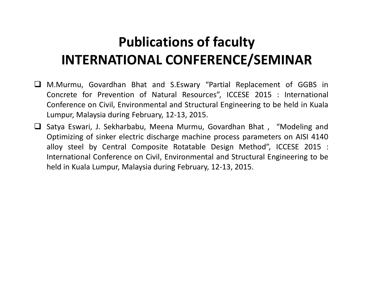# **Publications of faculty INTERNATIONAL CONFERENCE/SEMINAR**

- M.Murmu, Govardhan Bhat and S.Eswary "Partial Replacement of GGBS in Concrete for Prevention of Natural Resources", ICCESE 2015 : International Conference on Civil, Environmental and Structural Engineering to be held in Kuala Lumpur, Malaysia during February, 12-13, 2015.
- □ Satya Eswari, J. Sekharbabu, Meena Murmu, Govardhan Bhat, "Modeling and Optimizing of sinker electric discharge machine process parameters on AISI 4140 alloy steel by Central Composite Rotatable Design Method", ICCESE 2015 : International Conference on Civil, Environmental and Structural Engineering to be held in Kuala Lumpur, Malaysia during February, 12-13, 2015.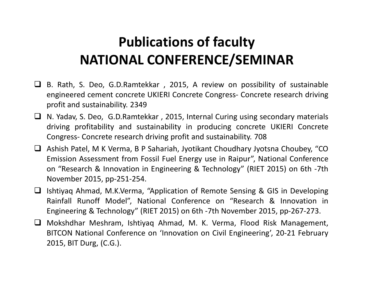### **Publications of faculty NATIONAL CONFERENCE/SEMINAR**

- $\Box$  B. Rath, S. Deo, G.D.Ramtekkar, 2015, A review on possibility of sustainable engineered cement concrete UKIERI Concrete Congress- Concrete research driving profit and sustainability. 2349
- □ N. Yadav, S. Deo, G.D.Ramtekkar, 2015, Internal Curing using secondary materials driving profitability and sustainability in producing concrete UKIERI Concrete Congress- Concrete research driving profit and sustainability. 708
- Ashish Patel, M K Verma, B P Sahariah, Jyotikant Choudhary Jyotsna Choubey, "CO Emission Assessment from Fossil Fuel Energy use in Raipur", National Conference on "Research & Innovation in Engineering & Technology" (RIET 2015) on 6th -7th November 2015, pp-251-254.
- □ Ishtiyaq Ahmad, M.K.Verma, "Application of Remote Sensing & GIS in Developing Rainfall Runoff Model", National Conference on "Research & Innovation in Engineering & Technology" (RIET 2015) on 6th -7th November 2015, pp-267-273.
- Mokshdhar Meshram, Ishtiyaq Ahmad, M. K. Verma, Flood Risk Management, BITCON National Conference on 'Innovation on Civil Engineering', 20-21 February 2015, BIT Durg, (C.G.).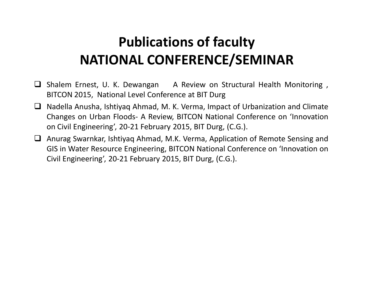# **Publications of faculty NATIONAL CONFERENCE/SEMINAR**

- Shalem Ernest, U. K. Dewangan A Review on Structural Health Monitoring , BITCON 2015, National Level Conference at BIT Durg
- $\Box$  Nadella Anusha, Ishtiyaq Ahmad, M. K. Verma, Impact of Urbanization and Climate Changes on Urban Floods- A Review, BITCON National Conference on 'Innovation on Civil Engineering', 20-21 February 2015, BIT Durg, (C.G.).
- Anurag Swarnkar, Ishtiyaq Ahmad, M.K. Verma, Application of Remote Sensing and GIS in Water Resource Engineering, BITCON National Conference on 'Innovation on Civil Engineering', 20-21 February 2015, BIT Durg, (C.G.).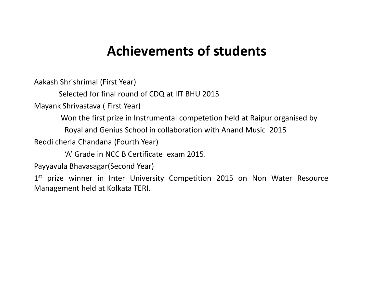#### **Achievements of students**

Aakash Shrishrimal (First Year)

Selected for final round of CDQ at IIT BHU 2015

Mayank Shrivastava ( First Year)

Won the first prize in Instrumental competetion held at Raipur organised by

Royal and Genius School in collaboration with Anand Music 2015

Reddi cherla Chandana (Fourth Year)

'A' Grade in NCC B Certificate exam 2015.

Payyavula Bhavasagar(Second Year)

1<sup>st</sup> prize winner in Inter University Competition 2015 on Non Water Resource Management held at Kolkata TERI.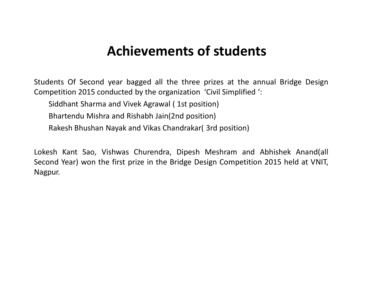#### **Achievements of students**

Students Of Second year bagged all the three prizes at the annual Bridge Design Competition 2015 conducted by the organization 'Civil Simplified ':

Siddhant Sharma and Vivek Agrawal ( 1st position)

Bhartendu Mishra and Rishabh Jain(2nd position)

Rakesh Bhushan Nayak and Vikas Chandrakar( 3rd position)

Lokesh Kant Sao, Vishwas Churendra, Dipesh Meshram and Abhishek Anand(all Second Year) won the first prize in the Bridge Design Competition 2015 held at VNIT, Nagpur.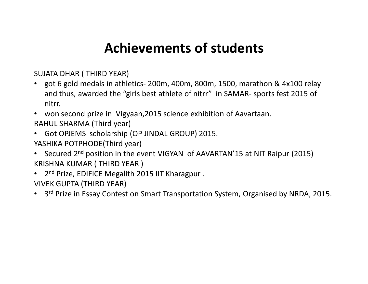#### **Achievements of students**

SUJATA DHAR ( THIRD YEAR)

- got 6 gold medals in athletics- 200m, 400m, 800m, 1500, marathon & 4x100 relay and thus, awarded the "girls best athlete of nitrr" in SAMAR- sports fest 2015 of nitrr.
- won second prize in Vigyaan,2015 science exhibition of Aavartaan.

RAHUL SHARMA (Third year)

• Got OPJEMS scholarship (OP JINDAL GROUP) 2015.

YASHIKA POTPHODE(Third year)

- Secured 2<sup>nd</sup> position in the event VIGYAN of AAVARTAN'15 at NIT Raipur (2015) KRISHNA KUMAR ( THIRD YEAR )
- 2<sup>nd</sup> Prize, EDIFICE Megalith 2015 IIT Kharagpur.
- VIVEK GUPTA (THIRD YEAR)
- 3<sup>rd</sup> Prize in Essay Contest on Smart Transportation System, Organised by NRDA, 2015.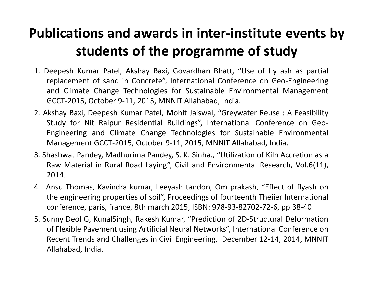### **Publications and awards in inter-institute events by students of the programme of study**

- 1. Deepesh Kumar Patel, Akshay Baxi, Govardhan Bhatt, "Use of fly ash as partial replacement of sand in Concrete", International Conference on Geo-Engineering and Climate Change Technologies for Sustainable Environmental Management GCCT-2015, October 9-11, 2015, MNNIT Allahabad, India.
- 2. Akshay Baxi, Deepesh Kumar Patel, Mohit Jaiswal, "Greywater Reuse : A Feasibility Study for Nit Raipur Residential Buildings", International Conference on Geo-Engineering and Climate Change Technologies for Sustainable Environmental Management GCCT-2015, October 9-11, 2015, MNNIT Allahabad, India.
- 3. Shashwat Pandey, Madhurima Pandey, S. K. Sinha., "Utilization of Kiln Accretion as a Raw Material in Rural Road Laying", Civil and Environmental Research, Vol.6(11), 2014.
- 4. Ansu Thomas, Kavindra kumar, Leeyash tandon, Om prakash, "Effect of flyash on the engineering properties of soil", Proceedings of fourteenth Theiier International conference, paris, france, 8th march 2015, ISBN: 978-93-82702-72-6, pp 38-40
- 5. Sunny Deol G, KunalSingh, Rakesh Kumar, "Prediction of 2D-Structural Deformation of Flexible Pavement using Artificial Neural Networks", International Conference on Recent Trends and Challenges in Civil Engineering, December 12-14, 2014, MNNIT Allahabad, India.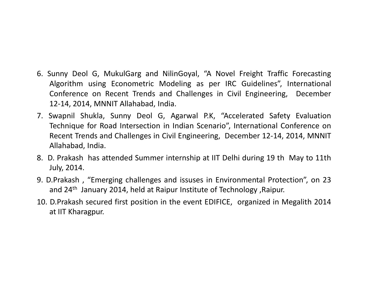- 6. Sunny Deol G, MukulGarg and NilinGoyal, "A Novel Freight Traffic Forecasting Algorithm using Econometric Modeling as per IRC Guidelines", International Conference on Recent Trends and Challenges in Civil Engineering, December 1214, 2014, MNNIT Allahabad, India.
- 7. Swapnil Shukla, Sunny Deol G, Agarwal P.K, "Accelerated Safety Evaluation Technique for Road Intersection in Indian Scenario", International Conference on Recent Trends and Challenges in Civil Engineering, December 12-14, 2014, MNNIT Allahabad, India.
- 8. D. Prakash has attended Summer internship at IIT Delhi during 19 th May to 11th July, 2014.
- 9. D.Prakash , "Emerging challenges and issuses in Environmental Protection", on 23 and 24th January 2014, held at Raipur Institute of Technology ,Raipur.
- 10. D.Prakash secured first position in the event EDIFICE, organized in Megalith 2014 at IIT Kharagpur.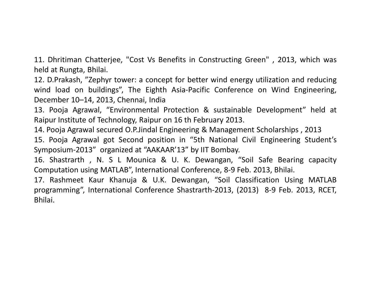11. Dhritiman Chatterjee, "Cost Vs Benefits in Constructing Green" , 2013, which was held at Rungta, Bhilai.

12. D.Prakash, "Zephyr tower: a concept for better wind energy utilization and reducing wind load on buildings", The Eighth Asia-Pacific Conference on Wind Engineering, December 10–14, 2013, Chennai, India

13. Pooja Agrawal, "Environmental Protection & sustainable Development" held at Raipur Institute of Technology, Raipur on 16 th February 2013.

14. Pooja Agrawal secured O.P.Jindal Engineering & Management Scholarships , 2013

15. Pooja Agrawal got Second position in "5th National Civil Engineering Student's Symposium2013" organized at "AAKAAR'13" by IIT Bombay.

16. Shastrarth , N. S L Mounica & U. K. Dewangan, "Soil Safe Bearing capacity Computation using MATLAB", International Conference, 8-9 Feb. 2013, Bhilai.

17. Rashmeet Kaur Khanuja & U.K. Dewangan, "Soil Classification Using MATLAB programming", International Conference Shastrarth-2013, (2013) 8-9 Feb. 2013, RCET, Bhilai.